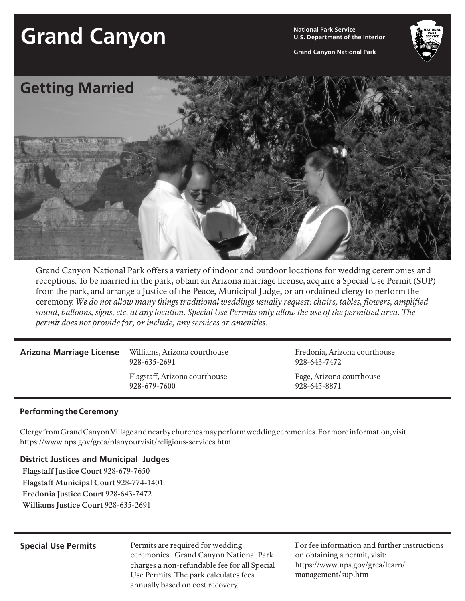# **Grand Canyon National Park Service**

**U.S. Department of the Interior**

**Grand Canyon National Park**



Grand Canyon National Park offers a variety of indoor and outdoor locations for wedding ceremonies and receptions. To be married in the park, obtain an Arizona marriage license, acquire a Special Use Permit (SUP) from the park, and arrange a Justice of the Peace, Municipal Judge, or an ordained clergy to perform the ceremony. *We do not allow many things traditional weddings usually request: chairs, tables, flowers, amplified sound, balloons, signs, etc. at any location. Special Use Permits only allow the use of the permitted area. The permit does not provide for, or include, any services or amenities.*

### **Arizona Marriage License**

Williams, Arizona courthouse 928-635-2691 Flagstaff, Arizona courthouse 928-679-7600

Fredonia, Arizona courthouse 928-643-7472

Page, Arizona courthouse 928-645-8871

## **Performing the Ceremony**

Clergy from Grand Canyon Village and nearby churches may perform wedding ceremonies. For more information, visit https://www.nps.gov/grca/planyourvisit/religious-services.htm

# **District Justices and Municipal Judges**

**Flagstaff Justice Court** 928-679-7650 **Flagstaff Municipal Court** 928-774-1401 **Fredonia Justice Court** 928-643-7472 **Williams Justice Court** 928-635-2691

Permits are required for wedding ceremonies. Grand Canyon National Park charges a non-refundable fee for all Special Use Permits. The park calculates fees annually based on cost recovery. **Special Use Permits** Permits are required for wedding For fee information and further instructions

on obtaining a permit, visit: https://www.nps.gov/grca/learn/ management/sup.htm